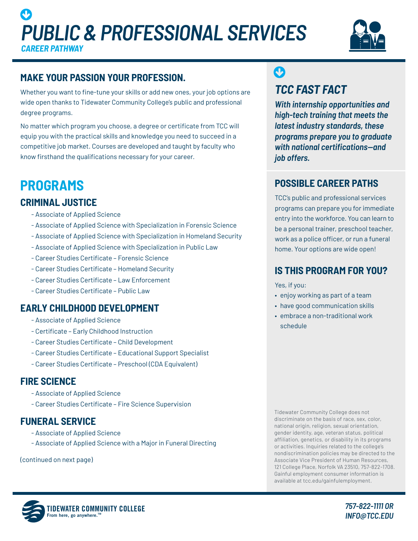# *PUBLIC & PROFESSIONAL SERVICES CAREER PATHWAY*  $\boldsymbol{\Theta}$



# **MAKE YOUR PASSION YOUR PROFESSION.**

Whether you want to fine-tune your skills or add new ones, your job options are wide open thanks to Tidewater Community College's public and professional degree programs.

No matter which program you choose, a degree or certificate from TCC will equip you with the practical skills and knowledge you need to succeed in a competitive job market. Courses are developed and taught by faculty who know firsthand the qualifications necessary for your career.

# **PROGRAMS**

## **CRIMINAL JUSTICE**

- Associate of Applied Science
- Associate of Applied Science with Specialization in Forensic Science
- Associate of Applied Science with Specialization in Homeland Security
- Associate of Applied Science with Specialization in Public Law
- Career Studies Certificate Forensic Science
- Career Studies Certificate Homeland Security
- Career Studies Certificate Law Enforcement
- Career Studies Certificate Public Law

#### **EARLY CHILDHOOD DEVELOPMENT**

- Associate of Applied Science
- Certificate Early Childhood Instruction
- Career Studies Certificate Child Development
- Career Studies Certificate Educational Support Specialist
- Career Studies Certificate Preschool (CDA Equivalent)

#### **FIRE SCIENCE**

- Associate of Applied Science
- Career Studies Certificate Fire Science Supervision

#### **FUNERAL SERVICE**

- Associate of Applied Science
- Associate of Applied Science with a Major in Funeral Directing

(continued on next page)

# *TCC FAST FACT*  $\mathbf C$

*With internship opportunities and high-tech training that meets the latest industry standards, these programs prepare you to graduate with national certifications—and job offers.*

## **POSSIBLE CAREER PATHS**

TCC's public and professional services programs can prepare you for immediate entry into the workforce. You can learn to be a personal trainer, preschool teacher, work as a police officer, or run a funeral home. Your options are wide open!

#### **IS THIS PROGRAM FOR YOU?**

Yes, if you:

- enjoy working as part of a team
- have good communication skills
- embrace a non-traditional work schedule

Tidewater Community College does not discriminate on the basis of race, sex, color, national origin, religion, sexual orientation, gender identity, age, veteran status, political affiliation, genetics, or disability in its programs or activities. Inquiries related to the college's nondiscrimination policies may be directed to the Associate Vice President of Human Resources, 121 College Place, Norfolk VA 23510, 757-822-1708. Gainful employment consumer information is available at tcc.edu/gainfulemployment.



*757-822-1111 OR INFO@TCC.EDU*